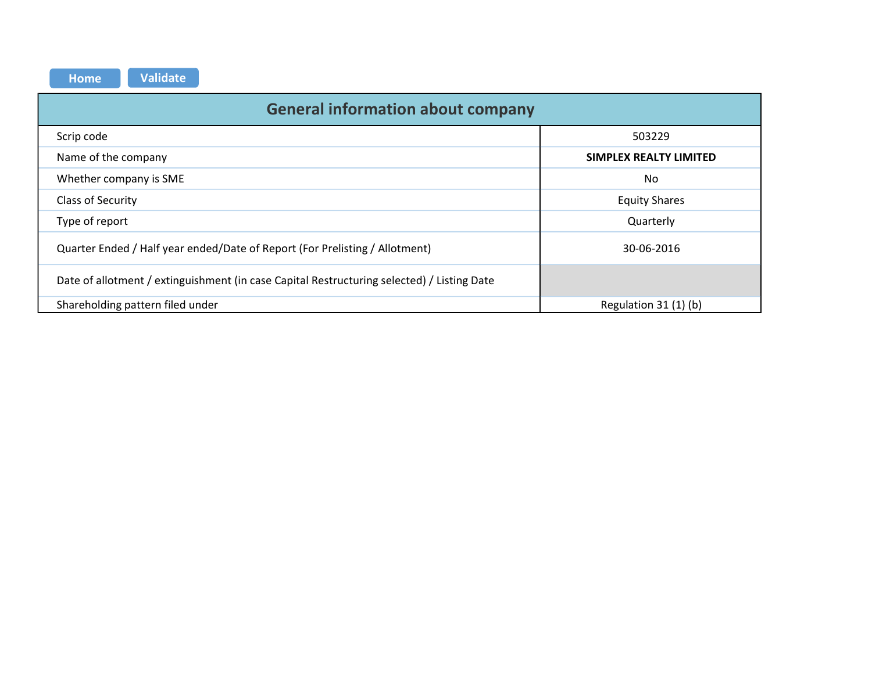| <b>Validate</b><br><b>Home</b>                                                             |                        |  |  |  |  |  |  |  |  |  |  |  |
|--------------------------------------------------------------------------------------------|------------------------|--|--|--|--|--|--|--|--|--|--|--|
| <b>General information about company</b>                                                   |                        |  |  |  |  |  |  |  |  |  |  |  |
| Scrip code                                                                                 | 503229                 |  |  |  |  |  |  |  |  |  |  |  |
| Name of the company                                                                        | SIMPLEX REALTY LIMITED |  |  |  |  |  |  |  |  |  |  |  |
| Whether company is SME                                                                     | No                     |  |  |  |  |  |  |  |  |  |  |  |
| Class of Security                                                                          | <b>Equity Shares</b>   |  |  |  |  |  |  |  |  |  |  |  |
| Type of report                                                                             | Quarterly              |  |  |  |  |  |  |  |  |  |  |  |
| Quarter Ended / Half year ended/Date of Report (For Prelisting / Allotment)                | 30-06-2016             |  |  |  |  |  |  |  |  |  |  |  |
| Date of allotment / extinguishment (in case Capital Restructuring selected) / Listing Date |                        |  |  |  |  |  |  |  |  |  |  |  |
| Shareholding pattern filed under                                                           | Regulation 31 (1) (b)  |  |  |  |  |  |  |  |  |  |  |  |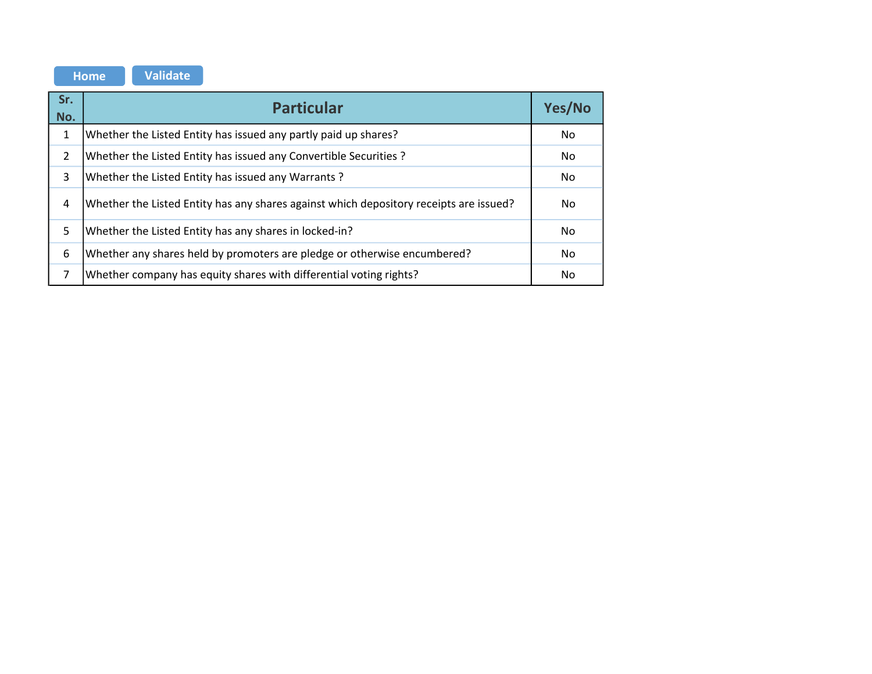|              | <b>Validate</b><br><b>Home</b>                                                         |     |  |  |  |  |  |  |  |  |  |  |
|--------------|----------------------------------------------------------------------------------------|-----|--|--|--|--|--|--|--|--|--|--|
| Sr.<br>No.   | <b>Particular</b>                                                                      |     |  |  |  |  |  |  |  |  |  |  |
| $\mathbf{1}$ | Whether the Listed Entity has issued any partly paid up shares?                        | No. |  |  |  |  |  |  |  |  |  |  |
| 2            | Whether the Listed Entity has issued any Convertible Securities?                       | No. |  |  |  |  |  |  |  |  |  |  |
| 3            | Whether the Listed Entity has issued any Warrants?                                     | No  |  |  |  |  |  |  |  |  |  |  |
| 4            | Whether the Listed Entity has any shares against which depository receipts are issued? | No. |  |  |  |  |  |  |  |  |  |  |
| 5            | Whether the Listed Entity has any shares in locked-in?                                 | No. |  |  |  |  |  |  |  |  |  |  |
| 6            | Whether any shares held by promoters are pledge or otherwise encumbered?               | No  |  |  |  |  |  |  |  |  |  |  |
| 7            | Whether company has equity shares with differential voting rights?                     | No  |  |  |  |  |  |  |  |  |  |  |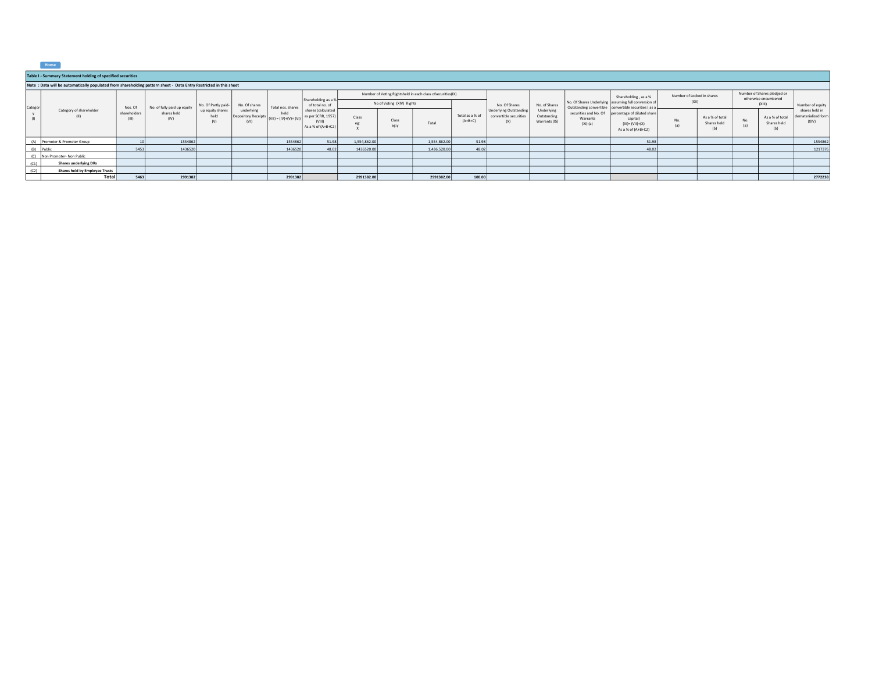|  |  | <b>Jomes</b> |  |
|--|--|--------------|--|
|  |  |              |  |

|         | Home                                                                                                             |                       |                             |                                 |                                           |                                 |                                                                                                                    |                           |                                                            |              |                              |                                                                |                                            |                                                 |                                                                                                              |                                                     |                                       |            |                                       |                                                |
|---------|------------------------------------------------------------------------------------------------------------------|-----------------------|-----------------------------|---------------------------------|-------------------------------------------|---------------------------------|--------------------------------------------------------------------------------------------------------------------|---------------------------|------------------------------------------------------------|--------------|------------------------------|----------------------------------------------------------------|--------------------------------------------|-------------------------------------------------|--------------------------------------------------------------------------------------------------------------|-----------------------------------------------------|---------------------------------------|------------|---------------------------------------|------------------------------------------------|
|         | Table I - Summary Statement holding of specified securities                                                      |                       |                             |                                 |                                           |                                 |                                                                                                                    |                           |                                                            |              |                              |                                                                |                                            |                                                 |                                                                                                              |                                                     |                                       |            |                                       |                                                |
|         | Note: Data will be automatically populated from shareholding pattern sheet - Data Entry Restricted in this sheet |                       |                             |                                 |                                           |                                 |                                                                                                                    |                           |                                                            |              |                              |                                                                |                                            |                                                 |                                                                                                              |                                                     |                                       |            |                                       |                                                |
|         |                                                                                                                  |                       |                             |                                 |                                           |                                 | Shareholding as a %<br>of total no, of<br>shares (calculated<br>as per SCRR, 1957)<br>(VIII)<br>As a % of (A+B+C2) |                           | Number of Voting Rightsheld in each class ofsecurities(IX) |              |                              |                                                                | Shareholding, as a %                       | Number of Locked in shares                      |                                                                                                              | Number of Shares pledged or<br>otherwise encumbered |                                       |            |                                       |                                                |
|         |                                                                                                                  | Nos. Of               | No. of fully paid up equity | No. Of Partly paid-             | No. Of shares                             | Total nos. shares               |                                                                                                                    | No of Voting (XIV) Rights |                                                            |              |                              | No. Of Shares                                                  | No. of Shares                              |                                                 | No. Of Shares Underlying assuming full conversion of<br>Outstanding convertible convertible securities (as a | (XII)                                               |                                       | (XIII)     |                                       | Number of equity                               |
| Categor | Category of shareholder                                                                                          | shareholders<br>(III) | shares held<br>(IV)         | up equity shares<br>held<br>(V) | underlying<br>Depository Receipts<br>(VI) | held<br>$(VII) = (IV)+(V)+(VI)$ |                                                                                                                    | Class                     | Class<br>eg:y                                              | Total        | Total as a % of<br>$(A+B+C)$ | <b>Underlying Outstanding</b><br>convertible securities<br>(X) | Underlying<br>Outstanding<br>Warrants (Xi) | securities and No. Of<br>Warrants<br>$(Xi)$ (a) | percentage of diluted share<br>capital)<br>$(XI) = (VII)+(X)$<br>As a % of (A+B+C2)                          | No.<br>(a)                                          | As a % of total<br>Shares held<br>(b) | No.<br>(a) | As a % of total<br>Shares held<br>(b) | shares held in<br>dematerialized form<br>(XIV) |
|         | (A) Promoter & Promoter Group                                                                                    |                       | 1554862                     |                                 |                                           | 1554862                         | 51.98                                                                                                              | 1,554,862.00              |                                                            | 1,554,862.00 | 51.98                        |                                                                |                                            |                                                 | 51.98                                                                                                        |                                                     |                                       |            |                                       | 1554862                                        |
|         | (B) Public                                                                                                       | 5453                  | 1436520                     |                                 |                                           | 1436520                         | 48.02                                                                                                              | 1436520.00                |                                                            | 1,436,520.00 | 48.02                        |                                                                |                                            |                                                 | 48.02                                                                                                        |                                                     |                                       |            |                                       | 1217376                                        |
| (C)     | Non Promoter- Non Public                                                                                         |                       |                             |                                 |                                           |                                 |                                                                                                                    |                           |                                                            |              |                              |                                                                |                                            |                                                 |                                                                                                              |                                                     |                                       |            |                                       |                                                |
| (C1)    | <b>Shares underlying DRs</b>                                                                                     |                       |                             |                                 |                                           |                                 |                                                                                                                    |                           |                                                            |              |                              |                                                                |                                            |                                                 |                                                                                                              |                                                     |                                       |            |                                       |                                                |
| (C2)    | <b>Shares held by Employee Trusts</b>                                                                            |                       |                             |                                 |                                           |                                 |                                                                                                                    |                           |                                                            |              |                              |                                                                |                                            |                                                 |                                                                                                              |                                                     |                                       |            |                                       |                                                |
|         | Total                                                                                                            | 5463                  | 2991382                     |                                 |                                           | 2991382                         |                                                                                                                    | 2991382.00                |                                                            | 2991382.00   | 100.00                       |                                                                |                                            |                                                 |                                                                                                              |                                                     |                                       |            |                                       | 2772238                                        |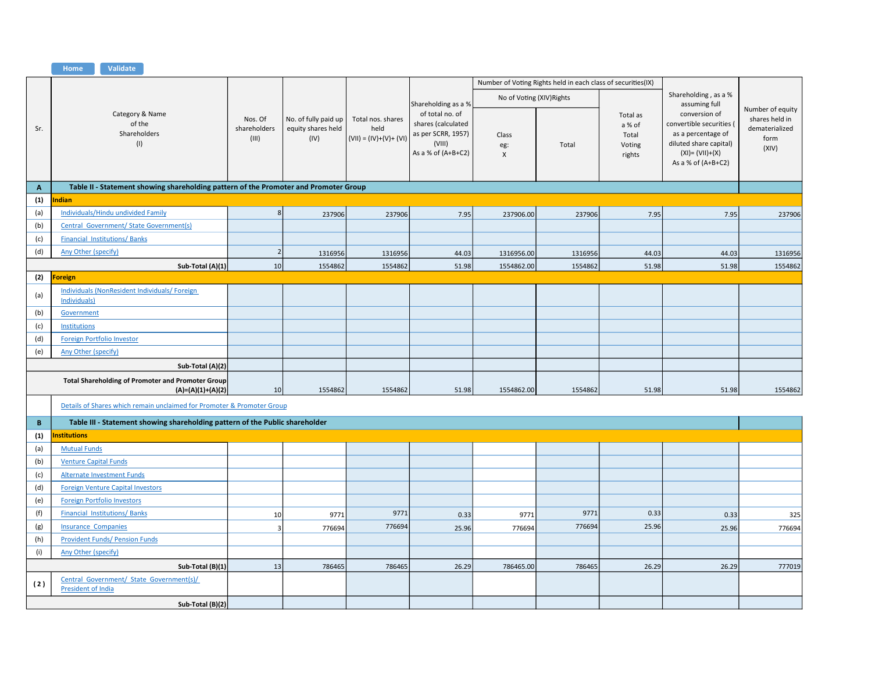|                           | Validate<br>Home                                                                     |                                  |                                                    |                                                      |                                                                                                                      |                           |                                                              |                                                 |                                                                                                                                                          |                                                                       |
|---------------------------|--------------------------------------------------------------------------------------|----------------------------------|----------------------------------------------------|------------------------------------------------------|----------------------------------------------------------------------------------------------------------------------|---------------------------|--------------------------------------------------------------|-------------------------------------------------|----------------------------------------------------------------------------------------------------------------------------------------------------------|-----------------------------------------------------------------------|
|                           |                                                                                      |                                  |                                                    |                                                      |                                                                                                                      |                           | Number of Voting Rights held in each class of securities(IX) |                                                 |                                                                                                                                                          |                                                                       |
|                           |                                                                                      |                                  |                                                    |                                                      |                                                                                                                      | No of Voting (XIV) Rights |                                                              |                                                 | Shareholding, as a %                                                                                                                                     |                                                                       |
| Sr.                       | Category & Name<br>of the<br>Shareholders<br>(1)                                     | Nos. Of<br>shareholders<br>(III) | No. of fully paid up<br>equity shares held<br>(IV) | Total nos. shares<br>held<br>$(VII) = (IV)+(V)+(VI)$ | Shareholding as a %<br>of total no. of<br>shares (calculated<br>as per SCRR, 1957)<br>(VIII)<br>As a % of $(A+B+C2)$ | Class<br>eg:<br>X         | Total                                                        | Total as<br>a % of<br>Total<br>Voting<br>rights | assuming full<br>conversion of<br>convertible securities (<br>as a percentage of<br>diluted share capital)<br>$(XI) = (VII)+(X)$<br>As a % of $(A+B+C2)$ | Number of equity<br>shares held in<br>dematerialized<br>form<br>(XIV) |
| $\boldsymbol{\mathsf{A}}$ | Table II - Statement showing shareholding pattern of the Promoter and Promoter Group |                                  |                                                    |                                                      |                                                                                                                      |                           |                                                              |                                                 |                                                                                                                                                          |                                                                       |
| (1)                       | ndian                                                                                |                                  |                                                    |                                                      |                                                                                                                      |                           |                                                              |                                                 |                                                                                                                                                          |                                                                       |
| (a)                       | <b>Individuals/Hindu undivided Family</b>                                            | 8 <sup>1</sup>                   | 237906                                             | 237906                                               | 7.95                                                                                                                 | 237906.00                 | 237906                                                       | 7.95                                            | 7.95                                                                                                                                                     | 237906                                                                |
| (b)                       | Central Government/ State Government(s)                                              |                                  |                                                    |                                                      |                                                                                                                      |                           |                                                              |                                                 |                                                                                                                                                          |                                                                       |
| (c)                       | <b>Financial Institutions/Banks</b>                                                  |                                  |                                                    |                                                      |                                                                                                                      |                           |                                                              |                                                 |                                                                                                                                                          |                                                                       |
| (d)                       | <b>Any Other (specify)</b>                                                           | $\overline{2}$                   | 1316956                                            | 1316956                                              | 44.03                                                                                                                | 1316956.00                | 1316956                                                      | 44.03                                           | 44.03                                                                                                                                                    | 1316956                                                               |
|                           | Sub-Total (A)(1)                                                                     | 10 <sup>1</sup>                  | 1554862                                            | 1554862                                              | 51.98                                                                                                                | 1554862.00                | 1554862                                                      | 51.98                                           | 51.98                                                                                                                                                    | 1554862                                                               |
| (2)                       | oreign                                                                               |                                  |                                                    |                                                      |                                                                                                                      |                           |                                                              |                                                 |                                                                                                                                                          |                                                                       |
| (a)                       | Individuals (NonResident Individuals/Foreign<br><b>Individuals</b> )                 |                                  |                                                    |                                                      |                                                                                                                      |                           |                                                              |                                                 |                                                                                                                                                          |                                                                       |
| (b)                       | Government                                                                           |                                  |                                                    |                                                      |                                                                                                                      |                           |                                                              |                                                 |                                                                                                                                                          |                                                                       |
| (c)                       | Institutions                                                                         |                                  |                                                    |                                                      |                                                                                                                      |                           |                                                              |                                                 |                                                                                                                                                          |                                                                       |
| (d)                       | Foreign Portfolio Investor                                                           |                                  |                                                    |                                                      |                                                                                                                      |                           |                                                              |                                                 |                                                                                                                                                          |                                                                       |
| (e)                       | Any Other (specify)                                                                  |                                  |                                                    |                                                      |                                                                                                                      |                           |                                                              |                                                 |                                                                                                                                                          |                                                                       |
|                           | Sub-Total (A)(2)                                                                     |                                  |                                                    |                                                      |                                                                                                                      |                           |                                                              |                                                 |                                                                                                                                                          |                                                                       |
|                           | <b>Total Shareholding of Promoter and Promoter Group</b><br>$(A)=(A)(1)+(A)(2)$      | 10 <sup>1</sup>                  | 1554862                                            | 1554862                                              | 51.98                                                                                                                | 1554862.00                | 1554862                                                      | 51.98                                           | 51.98                                                                                                                                                    | 1554862                                                               |
|                           | Details of Shares which remain unclaimed for Promoter & Promoter Group               |                                  |                                                    |                                                      |                                                                                                                      |                           |                                                              |                                                 |                                                                                                                                                          |                                                                       |
| $\mathbf B$               | Table III - Statement showing shareholding pattern of the Public shareholder         |                                  |                                                    |                                                      |                                                                                                                      |                           |                                                              |                                                 |                                                                                                                                                          |                                                                       |
| (1)                       | <b>Institutions</b>                                                                  |                                  |                                                    |                                                      |                                                                                                                      |                           |                                                              |                                                 |                                                                                                                                                          |                                                                       |
| (a)                       | <b>Mutual Funds</b>                                                                  |                                  |                                                    |                                                      |                                                                                                                      |                           |                                                              |                                                 |                                                                                                                                                          |                                                                       |
| (b)                       | <b>Venture Capital Funds</b>                                                         |                                  |                                                    |                                                      |                                                                                                                      |                           |                                                              |                                                 |                                                                                                                                                          |                                                                       |
| (c)                       | <b>Alternate Investment Funds</b>                                                    |                                  |                                                    |                                                      |                                                                                                                      |                           |                                                              |                                                 |                                                                                                                                                          |                                                                       |
| (d)                       | <b>Foreign Venture Capital Investors</b>                                             |                                  |                                                    |                                                      |                                                                                                                      |                           |                                                              |                                                 |                                                                                                                                                          |                                                                       |
| (e)                       | <b>Foreign Portfolio Investors</b>                                                   |                                  |                                                    |                                                      |                                                                                                                      |                           |                                                              |                                                 |                                                                                                                                                          |                                                                       |
| (f)                       | <b>Financial Institutions/Banks</b>                                                  | 10                               | 9771                                               | 9771                                                 | 0.33                                                                                                                 | 9771                      | 9771                                                         | 0.33                                            | 0.33                                                                                                                                                     | 325                                                                   |
| (g)                       | <b>Insurance Companies</b>                                                           | $\overline{\mathbf{3}}$          | 776694                                             | 776694                                               | 25.96                                                                                                                | 776694                    | 776694                                                       | 25.96                                           | 25.96                                                                                                                                                    | 776694                                                                |
| (h)                       | <b>Provident Funds/ Pension Funds</b>                                                |                                  |                                                    |                                                      |                                                                                                                      |                           |                                                              |                                                 |                                                                                                                                                          |                                                                       |
| (i)                       | Any Other (specify)                                                                  |                                  |                                                    |                                                      |                                                                                                                      |                           |                                                              |                                                 |                                                                                                                                                          |                                                                       |
|                           | Sub-Total (B)(1)                                                                     | 13                               | 786465                                             | 786465                                               | 26.29                                                                                                                | 786465.00                 | 786465                                                       | 26.29                                           | 26.29                                                                                                                                                    | 777019                                                                |
| (2)                       | Central Government/ State Government(s)/<br>President of India                       |                                  |                                                    |                                                      |                                                                                                                      |                           |                                                              |                                                 |                                                                                                                                                          |                                                                       |
|                           | Sub-Total (B)(2)                                                                     |                                  |                                                    |                                                      |                                                                                                                      |                           |                                                              |                                                 |                                                                                                                                                          |                                                                       |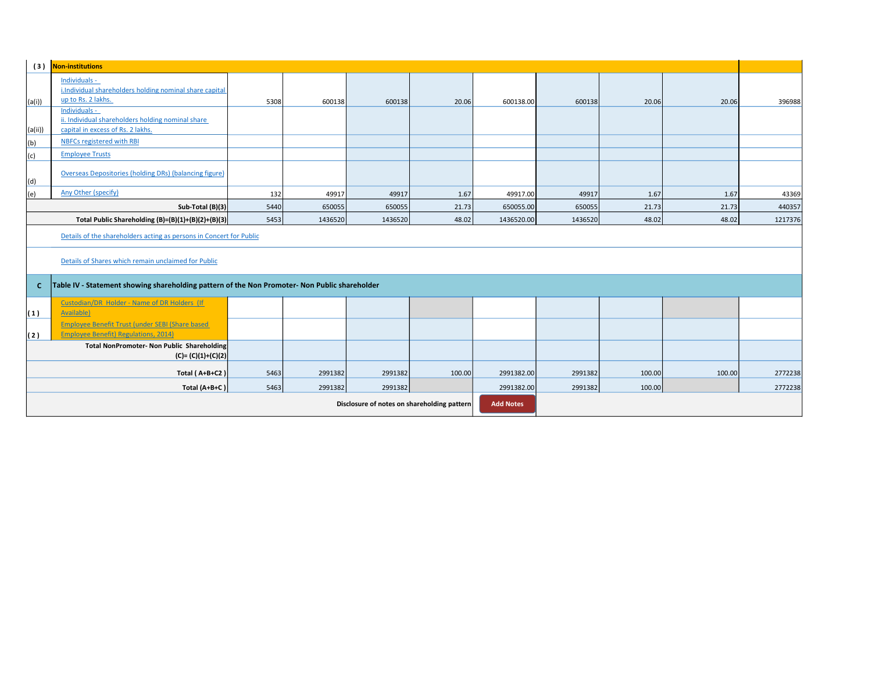| <b>Non-institutions</b><br>(3)                                      |                                                                                                         |            |                                             |                  |        |            |         |        |        |         |  |  |
|---------------------------------------------------------------------|---------------------------------------------------------------------------------------------------------|------------|---------------------------------------------|------------------|--------|------------|---------|--------|--------|---------|--|--|
| (a(i))                                                              | Individuals -<br>i.Individual shareholders holding nominal share capital<br>up to Rs. 2 lakhs.          | 5308       | 600138                                      | 600138           | 20.06  | 600138.00  | 600138  | 20.06  | 20.06  | 396988  |  |  |
| (a(ii))                                                             | Individuals -<br>ii. Individual shareholders holding nominal share<br>capital in excess of Rs. 2 lakhs. |            |                                             |                  |        |            |         |        |        |         |  |  |
| (b)                                                                 | NBFCs registered with RBI                                                                               |            |                                             |                  |        |            |         |        |        |         |  |  |
| (c)                                                                 | <b>Employee Trusts</b>                                                                                  |            |                                             |                  |        |            |         |        |        |         |  |  |
| (d)                                                                 | Overseas Depositories (holding DRs) (balancing figure)                                                  |            |                                             |                  |        |            |         |        |        |         |  |  |
| (e)                                                                 | Any Other (specify)                                                                                     | 132        | 49917                                       | 49917            | 1.67   | 49917.00   | 49917   | 1.67   | 1.67   | 43369   |  |  |
|                                                                     | Sub-Total (B)(3)                                                                                        | 5440       | 650055                                      | 650055           | 21.73  | 650055.00  | 650055  | 21.73  | 21.73  | 440357  |  |  |
|                                                                     | Total Public Shareholding (B)=(B)(1)+(B)(2)+(B)(3)                                                      | 5453       | 1436520                                     | 1436520          | 48.02  | 1436520.00 | 1436520 | 48.02  | 48.02  | 1217376 |  |  |
| Details of the shareholders acting as persons in Concert for Public |                                                                                                         |            |                                             |                  |        |            |         |        |        |         |  |  |
|                                                                     | Details of Shares which remain unclaimed for Public                                                     |            |                                             |                  |        |            |         |        |        |         |  |  |
| $\mathbf{C}$                                                        | Table IV - Statement showing shareholding pattern of the Non Promoter- Non Public shareholder           |            |                                             |                  |        |            |         |        |        |         |  |  |
| (1)                                                                 | Custodian/DR Holder - Name of DR Holders (If<br><b>Available</b>                                        |            |                                             |                  |        |            |         |        |        |         |  |  |
| (2)                                                                 | Employee Benefit Trust (under SEBI (Share based<br><b>Employee Benefit) Regulations, 2014)</b>          |            |                                             |                  |        |            |         |        |        |         |  |  |
|                                                                     | <b>Total NonPromoter- Non Public Shareholding</b><br>$(C) = (C)(1)+(C)(2)$                              |            |                                             |                  |        |            |         |        |        |         |  |  |
|                                                                     | Total (A+B+C2)                                                                                          | 5463       | 2991382                                     | 2991382          | 100.00 | 2991382.00 | 2991382 | 100.00 | 100.00 | 2772238 |  |  |
|                                                                     | Total (A+B+C)                                                                                           | 2991382.00 | 2991382                                     | 100.00           |        | 2772238    |         |        |        |         |  |  |
|                                                                     |                                                                                                         |            | Disclosure of notes on shareholding pattern | <b>Add Notes</b> |        |            |         |        |        |         |  |  |